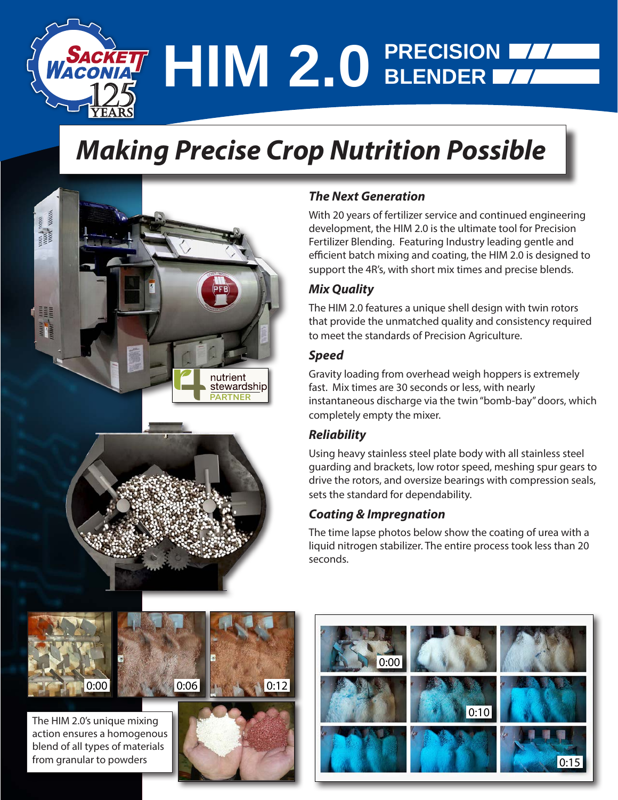# **HIM 2.0 PRECISION BLENDER**

# *Making Precise Crop Nutrition Possible*



### *The Next Generation*

With 20 years of fertilizer service and continued engineering development, the HIM 2.0 is the ultimate tool for Precision Fertilizer Blending. Featuring Industry leading gentle and efficient batch mixing and coating, the HIM 2.0 is designed to support the 4R's, with short mix times and precise blends.

#### *Mix Quality*

The HIM 2.0 features a unique shell design with twin rotors that provide the unmatched quality and consistency required to meet the standards of Precision Agriculture.

#### *Speed*

Gravity loading from overhead weigh hoppers is extremely fast. Mix times are 30 seconds or less, with nearly instantaneous discharge via the twin "bomb-bay" doors, which completely empty the mixer.

#### *Reliability*

Using heavy stainless steel plate body with all stainless steel guarding and brackets, low rotor speed, meshing spur gears to drive the rotors, and oversize bearings with compression seals, sets the standard for dependability.

#### *Coating & Impregnation*

The time lapse photos below show the coating of urea with a liquid nitrogen stabilizer. The entire process took less than 20 seconds.